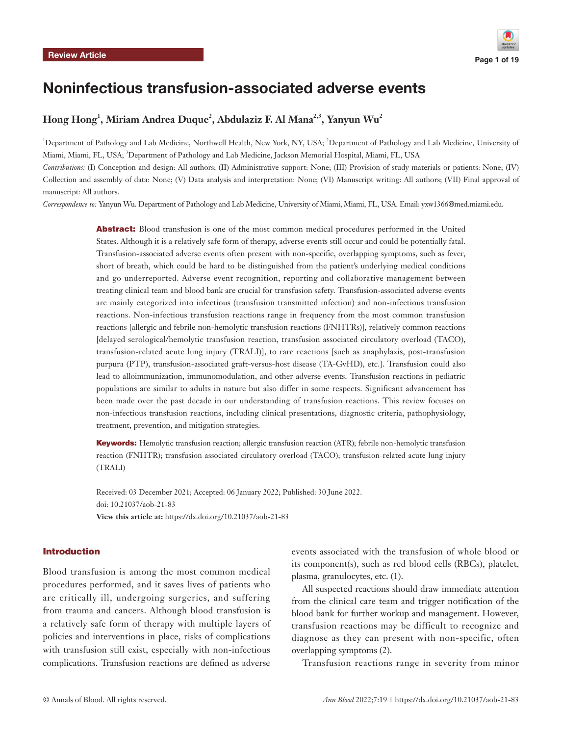

# Noninfectious transfusion-associated adverse events

# $\boldsymbol{\mathrm{Hong\ Hong}^1},$  Miriam Andrea Duque $^2$ , Abdulaziz F. Al Mana $^{2,3},$  Yanyun Wu $^2$

<sup>1</sup>Department of Pathology and Lab Medicine, Northwell Health, New York, NY, USA; <sup>2</sup>Department of Pathology and Lab Medicine, University of Miami, Miami, FL, USA; <sup>3</sup>Department of Pathology and Lab Medicine, Jackson Memorial Hospital, Miami, FL, USA *Contributions:* (I) Conception and design: All authors; (II) Administrative support: None; (III) Provision of study materials or patients: None; (IV)

Collection and assembly of data: None; (V) Data analysis and interpretation: None; (VI) Manuscript writing: All authors; (VII) Final approval of manuscript: All authors.

*Correspondence to:* Yanyun Wu. Department of Pathology and Lab Medicine, University of Miami, Miami, FL, USA. Email: yxw1366@med.miami.edu.

Abstract: Blood transfusion is one of the most common medical procedures performed in the United States. Although it is a relatively safe form of therapy, adverse events still occur and could be potentially fatal. Transfusion-associated adverse events often present with non-specific, overlapping symptoms, such as fever, short of breath, which could be hard to be distinguished from the patient's underlying medical conditions and go underreported. Adverse event recognition, reporting and collaborative management between treating clinical team and blood bank are crucial for transfusion safety. Transfusion-associated adverse events are mainly categorized into infectious (transfusion transmitted infection) and non-infectious transfusion reactions. Non-infectious transfusion reactions range in frequency from the most common transfusion reactions [allergic and febrile non-hemolytic transfusion reactions (FNHTRs)], relatively common reactions [delayed serological/hemolytic transfusion reaction, transfusion associated circulatory overload (TACO), transfusion-related acute lung injury (TRALI)], to rare reactions [such as anaphylaxis, post-transfusion purpura (PTP), transfusion-associated graft-versus-host disease (TA-GvHD), etc.]. Transfusion could also lead to alloimmunization, immunomodulation, and other adverse events. Transfusion reactions in pediatric populations are similar to adults in nature but also differ in some respects. Significant advancement has been made over the past decade in our understanding of transfusion reactions. This review focuses on non-infectious transfusion reactions, including clinical presentations, diagnostic criteria, pathophysiology, treatment, prevention, and mitigation strategies.

Keywords: Hemolytic transfusion reaction; allergic transfusion reaction (ATR); febrile non-hemolytic transfusion reaction (FNHTR); transfusion associated circulatory overload (TACO); transfusion-related acute lung injury (TRALI)

Received: 03 December 2021; Accepted: 06 January 2022; Published: 30 June 2022. doi: 10.21037/aob-21-83 **View this article at:** https://dx.doi.org/10.21037/aob-21-83

#### Introduction

Blood transfusion is among the most common medical procedures performed, and it saves lives of patients who are critically ill, undergoing surgeries, and suffering from trauma and cancers. Although blood transfusion is a relatively safe form of therapy with multiple layers of policies and interventions in place, risks of complications with transfusion still exist, especially with non-infectious complications. Transfusion reactions are defined as adverse

events associated with the transfusion of whole blood or its component(s), such as red blood cells (RBCs), platelet, plasma, granulocytes, etc. (1).

All suspected reactions should draw immediate attention from the clinical care team and trigger notification of the blood bank for further workup and management. However, transfusion reactions may be difficult to recognize and diagnose as they can present with non-specific, often overlapping symptoms (2).

Transfusion reactions range in severity from minor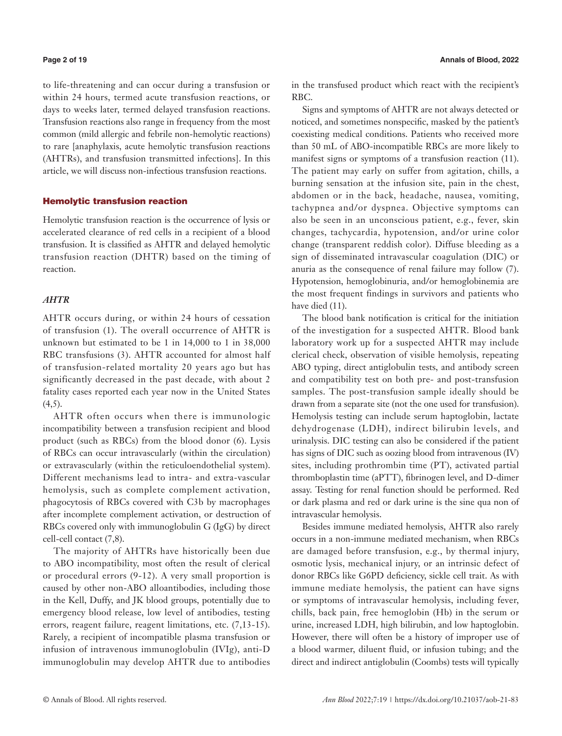to life-threatening and can occur during a transfusion or within 24 hours, termed acute transfusion reactions, or days to weeks later, termed delayed transfusion reactions. Transfusion reactions also range in frequency from the most common (mild allergic and febrile non-hemolytic reactions) to rare [anaphylaxis, acute hemolytic transfusion reactions (AHTRs), and transfusion transmitted infections]. In this article, we will discuss non-infectious transfusion reactions.

# Hemolytic transfusion reaction

Hemolytic transfusion reaction is the occurrence of lysis or accelerated clearance of red cells in a recipient of a blood transfusion. It is classified as AHTR and delayed hemolytic transfusion reaction (DHTR) based on the timing of reaction.

# *AHTR*

AHTR occurs during, or within 24 hours of cessation of transfusion (1). The overall occurrence of AHTR is unknown but estimated to be 1 in 14,000 to 1 in 38,000 RBC transfusions (3). AHTR accounted for almost half of transfusion-related mortality 20 years ago but has significantly decreased in the past decade, with about 2 fatality cases reported each year now in the United States  $(4,5)$ .

AHTR often occurs when there is immunologic incompatibility between a transfusion recipient and blood product (such as RBCs) from the blood donor (6). Lysis of RBCs can occur intravascularly (within the circulation) or extravascularly (within the reticuloendothelial system). Different mechanisms lead to intra- and extra-vascular hemolysis, such as complete complement activation, phagocytosis of RBCs covered with C3b by macrophages after incomplete complement activation, or destruction of RBCs covered only with immunoglobulin G (IgG) by direct cell-cell contact (7,8).

The majority of AHTRs have historically been due to ABO incompatibility, most often the result of clerical or procedural errors (9-12). A very small proportion is caused by other non-ABO alloantibodies, including those in the Kell, Duffy, and JK blood groups, potentially due to emergency blood release, low level of antibodies, testing errors, reagent failure, reagent limitations, etc. (7,13-15). Rarely, a recipient of incompatible plasma transfusion or infusion of intravenous immunoglobulin (IVIg), anti-D immunoglobulin may develop AHTR due to antibodies

in the transfused product which react with the recipient's RBC.

Signs and symptoms of AHTR are not always detected or noticed, and sometimes nonspecific, masked by the patient's coexisting medical conditions. Patients who received more than 50 mL of ABO-incompatible RBCs are more likely to manifest signs or symptoms of a transfusion reaction (11). The patient may early on suffer from agitation, chills, a burning sensation at the infusion site, pain in the chest, abdomen or in the back, headache, nausea, vomiting, tachypnea and/or dyspnea. Objective symptoms can also be seen in an unconscious patient, e.g., fever, skin changes, tachycardia, hypotension, and/or urine color change (transparent reddish color). Diffuse bleeding as a sign of disseminated intravascular coagulation (DIC) or anuria as the consequence of renal failure may follow (7). Hypotension, hemoglobinuria, and/or hemoglobinemia are the most frequent findings in survivors and patients who have died (11).

The blood bank notification is critical for the initiation of the investigation for a suspected AHTR. Blood bank laboratory work up for a suspected AHTR may include clerical check, observation of visible hemolysis, repeating ABO typing, direct antiglobulin tests, and antibody screen and compatibility test on both pre- and post-transfusion samples. The post-transfusion sample ideally should be drawn from a separate site (not the one used for transfusion). Hemolysis testing can include serum haptoglobin, lactate dehydrogenase (LDH), indirect bilirubin levels, and urinalysis. DIC testing can also be considered if the patient has signs of DIC such as oozing blood from intravenous (IV) sites, including prothrombin time (PT), activated partial thromboplastin time (aPTT), fibrinogen level, and D-dimer assay. Testing for renal function should be performed. Red or dark plasma and red or dark urine is the sine qua non of intravascular hemolysis.

Besides immune mediated hemolysis, AHTR also rarely occurs in a non-immune mediated mechanism, when RBCs are damaged before transfusion, e.g., by thermal injury, osmotic lysis, mechanical injury, or an intrinsic defect of donor RBCs like G6PD deficiency, sickle cell trait. As with immune mediate hemolysis, the patient can have signs or symptoms of intravascular hemolysis, including fever, chills, back pain, free hemoglobin (Hb) in the serum or urine, increased LDH, high bilirubin, and low haptoglobin. However, there will often be a history of improper use of a blood warmer, diluent fluid, or infusion tubing; and the direct and indirect antiglobulin (Coombs) tests will typically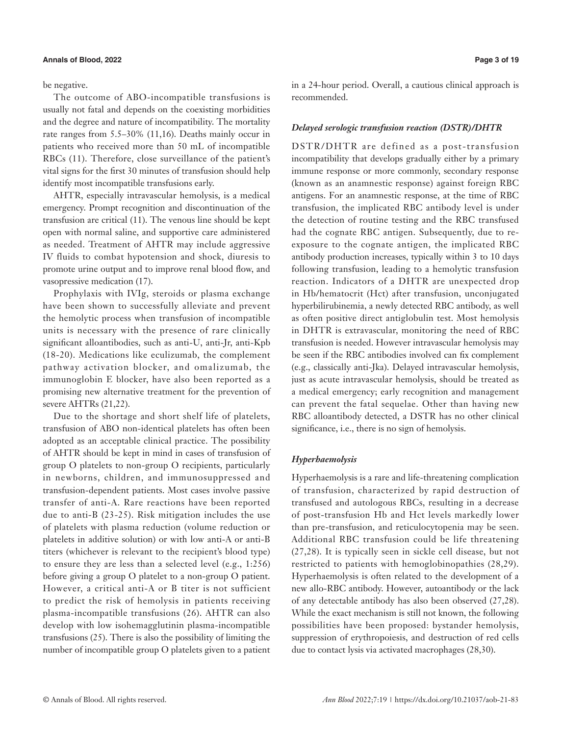# **Annals of Blood, 2022 Page 3 of 19**

be negative.

The outcome of ABO-incompatible transfusions is usually not fatal and depends on the coexisting morbidities and the degree and nature of incompatibility. The mortality rate ranges from 5.5–30% (11,16). Deaths mainly occur in patients who received more than 50 mL of incompatible RBCs (11). Therefore, close surveillance of the patient's vital signs for the first 30 minutes of transfusion should help identify most incompatible transfusions early.

AHTR, especially intravascular hemolysis, is a medical emergency. Prompt recognition and discontinuation of the transfusion are critical (11). The venous line should be kept open with normal saline, and supportive care administered as needed. Treatment of AHTR may include aggressive IV fluids to combat hypotension and shock, diuresis to promote urine output and to improve renal blood flow, and vasopressive medication (17).

Prophylaxis with IVIg, steroids or plasma exchange have been shown to successfully alleviate and prevent the hemolytic process when transfusion of incompatible units is necessary with the presence of rare clinically significant alloantibodies, such as anti-U, anti-Jr, anti-Kpb (18-20). Medications like eculizumab, the complement pathway activation blocker, and omalizumab, the immunoglobin E blocker, have also been reported as a promising new alternative treatment for the prevention of severe AHTRs (21,22).

Due to the shortage and short shelf life of platelets, transfusion of ABO non-identical platelets has often been adopted as an acceptable clinical practice. The possibility of AHTR should be kept in mind in cases of transfusion of group O platelets to non-group O recipients, particularly in newborns, children, and immunosuppressed and transfusion-dependent patients. Most cases involve passive transfer of anti-A. Rare reactions have been reported due to anti-B (23-25). Risk mitigation includes the use of platelets with plasma reduction (volume reduction or platelets in additive solution) or with low anti-A or anti-B titers (whichever is relevant to the recipient's blood type) to ensure they are less than a selected level (e.g., 1:256) before giving a group O platelet to a non-group O patient. However, a critical anti-A or B titer is not sufficient to predict the risk of hemolysis in patients receiving plasma-incompatible transfusions (26). AHTR can also develop with low isohemagglutinin plasma-incompatible transfusions (25). There is also the possibility of limiting the number of incompatible group O platelets given to a patient in a 24-hour period. Overall, a cautious clinical approach is recommended.

# *Delayed serologic transfusion reaction (DSTR)/DHTR*

DSTR/DHTR are defined as a post-transfusion incompatibility that develops gradually either by a primary immune response or more commonly, secondary response (known as an anamnestic response) against foreign RBC antigens. For an anamnestic response, at the time of RBC transfusion, the implicated RBC antibody level is under the detection of routine testing and the RBC transfused had the cognate RBC antigen. Subsequently, due to reexposure to the cognate antigen, the implicated RBC antibody production increases, typically within 3 to 10 days following transfusion, leading to a hemolytic transfusion reaction. Indicators of a DHTR are unexpected drop in Hb/hematocrit (Hct) after transfusion, unconjugated hyperbilirubinemia, a newly detected RBC antibody, as well as often positive direct antiglobulin test. Most hemolysis in DHTR is extravascular, monitoring the need of RBC transfusion is needed. However intravascular hemolysis may be seen if the RBC antibodies involved can fix complement (e.g., classically anti-Jka). Delayed intravascular hemolysis, just as acute intravascular hemolysis, should be treated as a medical emergency; early recognition and management can prevent the fatal sequelae. Other than having new RBC alloantibody detected, a DSTR has no other clinical significance, i.e., there is no sign of hemolysis.

# *Hyperhaemolysis*

Hyperhaemolysis is a rare and life-threatening complication of transfusion, characterized by rapid destruction of transfused and autologous RBCs, resulting in a decrease of post-transfusion Hb and Hct levels markedly lower than pre-transfusion, and reticulocytopenia may be seen. Additional RBC transfusion could be life threatening (27,28). It is typically seen in sickle cell disease, but not restricted to patients with hemoglobinopathies (28,29). Hyperhaemolysis is often related to the development of a new allo-RBC antibody. However, autoantibody or the lack of any detectable antibody has also been observed (27,28). While the exact mechanism is still not known, the following possibilities have been proposed: bystander hemolysis, suppression of erythropoiesis, and destruction of red cells due to contact lysis via activated macrophages (28,30).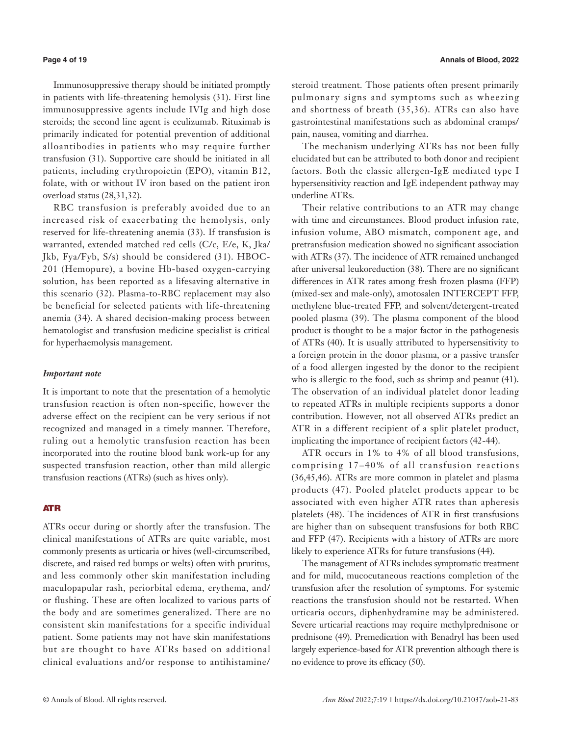Immunosuppressive therapy should be initiated promptly in patients with life-threatening hemolysis (31). First line immunosuppressive agents include IVIg and high dose steroids; the second line agent is eculizumab. Rituximab is primarily indicated for potential prevention of additional alloantibodies in patients who may require further transfusion (31). Supportive care should be initiated in all patients, including erythropoietin (EPO), vitamin B12, folate, with or without IV iron based on the patient iron overload status (28,31,32).

RBC transfusion is preferably avoided due to an increased risk of exacerbating the hemolysis, only reserved for life-threatening anemia (33). If transfusion is warranted, extended matched red cells (C/c, E/e, K, Jka/ Jkb, Fya/Fyb, S/s) should be considered (31). HBOC-201 (Hemopure), a bovine Hb-based oxygen-carrying solution, has been reported as a lifesaving alternative in this scenario (32). Plasma-to-RBC replacement may also be beneficial for selected patients with life-threatening anemia (34). A shared decision-making process between hematologist and transfusion medicine specialist is critical for hyperhaemolysis management.

# *Important note*

It is important to note that the presentation of a hemolytic transfusion reaction is often non-specific, however the adverse effect on the recipient can be very serious if not recognized and managed in a timely manner. Therefore, ruling out a hemolytic transfusion reaction has been incorporated into the routine blood bank work-up for any suspected transfusion reaction, other than mild allergic transfusion reactions (ATRs) (such as hives only).

# ATR

ATRs occur during or shortly after the transfusion. The clinical manifestations of ATRs are quite variable, most commonly presents as urticaria or hives (well-circumscribed, discrete, and raised red bumps or welts) often with pruritus, and less commonly other skin manifestation including maculopapular rash, periorbital edema, erythema, and/ or flushing. These are often localized to various parts of the body and are sometimes generalized. There are no consistent skin manifestations for a specific individual patient. Some patients may not have skin manifestations but are thought to have ATRs based on additional clinical evaluations and/or response to antihistamine/ steroid treatment. Those patients often present primarily pulmonary signs and symptoms such as wheezing and shortness of breath (35,36). ATRs can also have gastrointestinal manifestations such as abdominal cramps/ pain, nausea, vomiting and diarrhea.

The mechanism underlying ATRs has not been fully elucidated but can be attributed to both donor and recipient factors. Both the classic allergen-IgE mediated type I hypersensitivity reaction and IgE independent pathway may underline ATRs.

Their relative contributions to an ATR may change with time and circumstances. Blood product infusion rate, infusion volume, ABO mismatch, component age, and pretransfusion medication showed no significant association with ATRs (37). The incidence of ATR remained unchanged after universal leukoreduction (38). There are no significant differences in ATR rates among fresh frozen plasma (FFP) (mixed-sex and male-only), amotosalen INTERCEPT FFP, methylene blue-treated FFP, and solvent/detergent-treated pooled plasma (39). The plasma component of the blood product is thought to be a major factor in the pathogenesis of ATRs (40). It is usually attributed to hypersensitivity to a foreign protein in the donor plasma, or a passive transfer of a food allergen ingested by the donor to the recipient who is allergic to the food, such as shrimp and peanut (41). The observation of an individual platelet donor leading to repeated ATRs in multiple recipients supports a donor contribution. However, not all observed ATRs predict an ATR in a different recipient of a split platelet product, implicating the importance of recipient factors (42-44).

ATR occurs in 1% to 4% of all blood transfusions, comprising 17–40% of all transfusion reactions (36,45,46). ATRs are more common in platelet and plasma products (47). Pooled platelet products appear to be associated with even higher ATR rates than apheresis platelets (48). The incidences of ATR in first transfusions are higher than on subsequent transfusions for both RBC and FFP (47). Recipients with a history of ATRs are more likely to experience ATRs for future transfusions (44).

The management of ATRs includes symptomatic treatment and for mild, mucocutaneous reactions completion of the transfusion after the resolution of symptoms. For systemic reactions the transfusion should not be restarted. When urticaria occurs, diphenhydramine may be administered. Severe urticarial reactions may require methylprednisone or prednisone (49). Premedication with Benadryl has been used largely experience-based for ATR prevention although there is no evidence to prove its efficacy (50).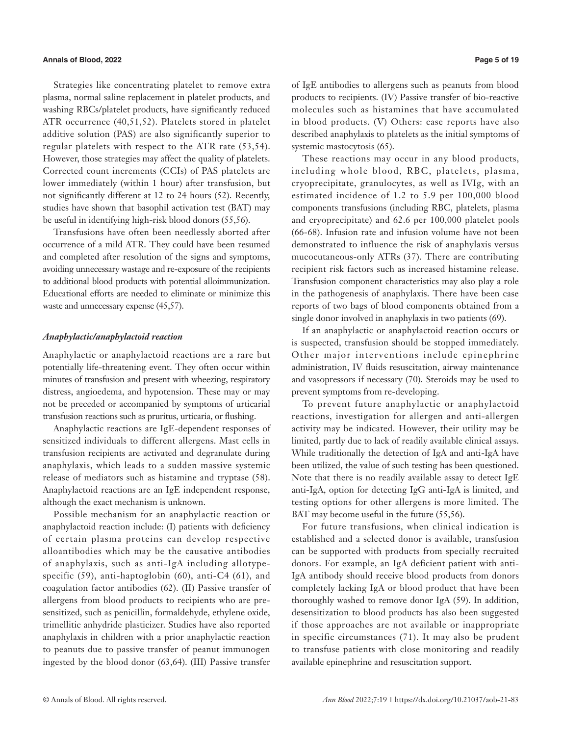### **Annals of Blood, 2022 Page 5 of 19**

Strategies like concentrating platelet to remove extra plasma, normal saline replacement in platelet products, and washing RBCs/platelet products, have significantly reduced ATR occurrence (40,51,52). Platelets stored in platelet additive solution (PAS) are also significantly superior to regular platelets with respect to the ATR rate (53,54). However, those strategies may affect the quality of platelets. Corrected count increments (CCIs) of PAS platelets are lower immediately (within 1 hour) after transfusion, but not significantly different at 12 to 24 hours (52). Recently, studies have shown that basophil activation test (BAT) may be useful in identifying high-risk blood donors (55,56).

Transfusions have often been needlessly aborted after occurrence of a mild ATR. They could have been resumed and completed after resolution of the signs and symptoms, avoiding unnecessary wastage and re-exposure of the recipients to additional blood products with potential alloimmunization. Educational efforts are needed to eliminate or minimize this waste and unnecessary expense (45,57).

### *Anaphylactic/anaphylactoid reaction*

Anaphylactic or anaphylactoid reactions are a rare but potentially life-threatening event. They often occur within minutes of transfusion and present with wheezing, respiratory distress, angioedema, and hypotension. These may or may not be preceded or accompanied by symptoms of urticarial transfusion reactions such as pruritus, urticaria, or flushing.

Anaphylactic reactions are IgE-dependent responses of sensitized individuals to different allergens. Mast cells in transfusion recipients are activated and degranulate during anaphylaxis, which leads to a sudden massive systemic release of mediators such as histamine and tryptase (58). Anaphylactoid reactions are an IgE independent response, although the exact mechanism is unknown.

Possible mechanism for an anaphylactic reaction or anaphylactoid reaction include: (I) patients with deficiency of certain plasma proteins can develop respective alloantibodies which may be the causative antibodies of anaphylaxis, such as anti-IgA including allotypespecific (59), anti-haptoglobin (60), anti-C4 (61), and coagulation factor antibodies (62). (II) Passive transfer of allergens from blood products to recipients who are presensitized, such as penicillin, formaldehyde, ethylene oxide, trimellitic anhydride plasticizer. Studies have also reported anaphylaxis in children with a prior anaphylactic reaction to peanuts due to passive transfer of peanut immunogen ingested by the blood donor (63,64). (III) Passive transfer of IgE antibodies to allergens such as peanuts from blood products to recipients. (IV) Passive transfer of bio-reactive molecules such as histamines that have accumulated in blood products. (V) Others: case reports have also described anaphylaxis to platelets as the initial symptoms of systemic mastocytosis (65).

These reactions may occur in any blood products, including whole blood, RBC, platelets, plasma, cryoprecipitate, granulocytes, as well as IVIg, with an estimated incidence of 1.2 to 5.9 per 100,000 blood components transfusions (including RBC, platelets, plasma and cryoprecipitate) and 62.6 per 100,000 platelet pools (66-68). Infusion rate and infusion volume have not been demonstrated to influence the risk of anaphylaxis versus mucocutaneous-only ATRs (37). There are contributing recipient risk factors such as increased histamine release. Transfusion component characteristics may also play a role in the pathogenesis of anaphylaxis. There have been case reports of two bags of blood components obtained from a single donor involved in anaphylaxis in two patients (69).

If an anaphylactic or anaphylactoid reaction occurs or is suspected, transfusion should be stopped immediately. Other major interventions include epinephrine administration, IV fluids resuscitation, airway maintenance and vasopressors if necessary (70). Steroids may be used to prevent symptoms from re-developing.

To prevent future anaphylactic or anaphylactoid reactions, investigation for allergen and anti-allergen activity may be indicated. However, their utility may be limited, partly due to lack of readily available clinical assays. While traditionally the detection of IgA and anti-IgA have been utilized, the value of such testing has been questioned. Note that there is no readily available assay to detect IgE anti-IgA, option for detecting IgG anti-IgA is limited, and testing options for other allergens is more limited. The BAT may become useful in the future (55,56).

For future transfusions, when clinical indication is established and a selected donor is available, transfusion can be supported with products from specially recruited donors. For example, an IgA deficient patient with anti-IgA antibody should receive blood products from donors completely lacking IgA or blood product that have been thoroughly washed to remove donor IgA (59). In addition, desensitization to blood products has also been suggested if those approaches are not available or inappropriate in specific circumstances (71). It may also be prudent to transfuse patients with close monitoring and readily available epinephrine and resuscitation support.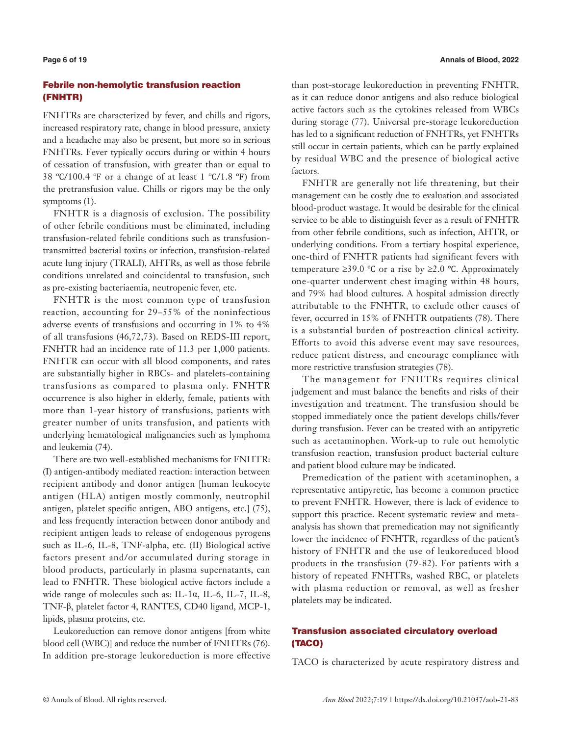# Febrile non-hemolytic transfusion reaction (FNHTR)

FNHTRs are characterized by fever, and chills and rigors, increased respiratory rate, change in blood pressure, anxiety and a headache may also be present, but more so in serious FNHTRs. Fever typically occurs during or within 4 hours of cessation of transfusion, with greater than or equal to 38 ℃/100.4 ℉ or a change of at least 1 ℃/1.8 ℉) from the pretransfusion value. Chills or rigors may be the only symptoms (1).

FNHTR is a diagnosis of exclusion. The possibility of other febrile conditions must be eliminated, including transfusion-related febrile conditions such as transfusiontransmitted bacterial toxins or infection, transfusion-related acute lung injury (TRALI), AHTRs, as well as those febrile conditions unrelated and coincidental to transfusion, such as pre-existing bacteriaemia, neutropenic fever, etc.

FNHTR is the most common type of transfusion reaction, accounting for 29–55% of the noninfectious adverse events of transfusions and occurring in 1% to 4% of all transfusions (46,72,73). Based on REDS-III report, FNHTR had an incidence rate of 11.3 per 1,000 patients. FNHTR can occur with all blood components, and rates are substantially higher in RBCs- and platelets-containing transfusions as compared to plasma only. FNHTR occurrence is also higher in elderly, female, patients with more than 1-year history of transfusions, patients with greater number of units transfusion, and patients with underlying hematological malignancies such as lymphoma and leukemia (74).

There are two well-established mechanisms for FNHTR: (I) antigen-antibody mediated reaction: interaction between recipient antibody and donor antigen [human leukocyte antigen (HLA) antigen mostly commonly, neutrophil antigen, platelet specific antigen, ABO antigens, etc.] (75), and less frequently interaction between donor antibody and recipient antigen leads to release of endogenous pyrogens such as IL-6, IL-8, TNF-alpha, etc. (II) Biological active factors present and/or accumulated during storage in blood products, particularly in plasma supernatants, can lead to FNHTR. These biological active factors include a wide range of molecules such as: IL-1α, IL-6, IL-7, IL-8, TNF-β, platelet factor 4, RANTES, CD40 ligand, MCP-1, lipids, plasma proteins, etc.

Leukoreduction can remove donor antigens [from white blood cell (WBC)] and reduce the number of FNHTRs (76). In addition pre-storage leukoreduction is more effective

than post-storage leukoreduction in preventing FNHTR, as it can reduce donor antigens and also reduce biological active factors such as the cytokines released from WBCs during storage (77). Universal pre-storage leukoreduction has led to a significant reduction of FNHTRs, yet FNHTRs still occur in certain patients, which can be partly explained by residual WBC and the presence of biological active factors.

FNHTR are generally not life threatening, but their management can be costly due to evaluation and associated blood-product wastage. It would be desirable for the clinical service to be able to distinguish fever as a result of FNHTR from other febrile conditions, such as infection, AHTR, or underlying conditions. From a tertiary hospital experience, one-third of FNHTR patients had significant fevers with temperature  $\geq$ 39.0 °C or a rise by  $\geq$ 2.0 °C. Approximately one-quarter underwent chest imaging within 48 hours, and 79% had blood cultures. A hospital admission directly attributable to the FNHTR, to exclude other causes of fever, occurred in 15% of FNHTR outpatients (78). There is a substantial burden of postreaction clinical activity. Efforts to avoid this adverse event may save resources, reduce patient distress, and encourage compliance with more restrictive transfusion strategies (78).

The management for FNHTRs requires clinical judgement and must balance the benefits and risks of their investigation and treatment. The transfusion should be stopped immediately once the patient develops chills/fever during transfusion. Fever can be treated with an antipyretic such as acetaminophen. Work-up to rule out hemolytic transfusion reaction, transfusion product bacterial culture and patient blood culture may be indicated.

Premedication of the patient with acetaminophen, a representative antipyretic, has become a common practice to prevent FNHTR. However, there is lack of evidence to support this practice. Recent systematic review and metaanalysis has shown that premedication may not significantly lower the incidence of FNHTR, regardless of the patient's history of FNHTR and the use of leukoreduced blood products in the transfusion (79-82). For patients with a history of repeated FNHTRs, washed RBC, or platelets with plasma reduction or removal, as well as fresher platelets may be indicated.

# Transfusion associated circulatory overload (TACO)

TACO is characterized by acute respiratory distress and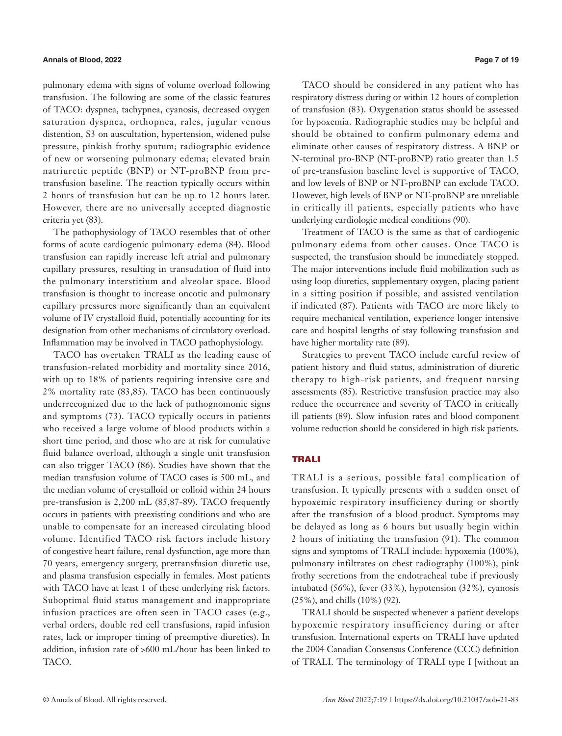pulmonary edema with signs of volume overload following transfusion. The following are some of the classic features of TACO: dyspnea, tachypnea, cyanosis, decreased oxygen saturation dyspnea, orthopnea, rales, jugular venous distention, S3 on auscultation, hypertension, widened pulse pressure, pinkish frothy sputum; radiographic evidence of new or worsening pulmonary edema; elevated brain natriuretic peptide (BNP) or NT-proBNP from pretransfusion baseline. The reaction typically occurs within 2 hours of transfusion but can be up to 12 hours later. However, there are no universally accepted diagnostic criteria yet (83).

The pathophysiology of TACO resembles that of other forms of acute cardiogenic pulmonary edema (84). Blood transfusion can rapidly increase left atrial and pulmonary capillary pressures, resulting in transudation of fluid into the pulmonary interstitium and alveolar space. Blood transfusion is thought to increase oncotic and pulmonary capillary pressures more significantly than an equivalent volume of IV crystalloid fluid, potentially accounting for its designation from other mechanisms of circulatory overload. Inflammation may be involved in TACO pathophysiology.

TACO has overtaken TRALI as the leading cause of transfusion-related morbidity and mortality since 2016, with up to 18% of patients requiring intensive care and 2% mortality rate (83,85). TACO has been continuously underrecognized due to the lack of pathognomonic signs and symptoms (73). TACO typically occurs in patients who received a large volume of blood products within a short time period, and those who are at risk for cumulative fluid balance overload, although a single unit transfusion can also trigger TACO (86). Studies have shown that the median transfusion volume of TACO cases is 500 mL, and the median volume of crystalloid or colloid within 24 hours pre-transfusion is 2,200 mL (85,87-89). TACO frequently occurs in patients with preexisting conditions and who are unable to compensate for an increased circulating blood volume. Identified TACO risk factors include history of [congestive heart failure](https://www.sciencedirect.com/topics/medicine-and-dentistry/congestive-heart-failure), renal dysfunction, age more than 70 years, emergency surgery, pretransfusion diuretic use, and plasma transfusion especially in females. Most patients with TACO have at least 1 of these underlying risk factors. Suboptimal fluid status management and inappropriate infusion practices are often seen in TACO cases (e.g., verbal orders, double red cell transfusions, rapid [infusion](https://www.sciencedirect.com/topics/medicine-and-dentistry/infusion-rate) [rates,](https://www.sciencedirect.com/topics/medicine-and-dentistry/infusion-rate) lack or improper timing of preemptive diuretics). In addition, infusion rate of >600 mL/hour has been linked to TACO.

TACO should be considered in any patient who has respiratory distress during or within 12 hours of completion of transfusion (83). Oxygenation status should be assessed for hypoxemia. Radiographic studies may be helpful and should be obtained to confirm pulmonary edema and eliminate other causes of respiratory distress. A BNP or N-terminal pro-BNP (NT-proBNP) ratio greater than 1.5 of pre-transfusion baseline level is supportive of TACO, and low levels of BNP or NT-proBNP can exclude TACO. However, high levels of BNP or NT-proBNP are unreliable in critically ill patients, especially patients who have underlying cardiologic medical conditions (90).

Treatment of TACO is the same as that of cardiogenic pulmonary edema from other causes. Once TACO is suspected, the transfusion should be immediately stopped. The major interventions include fluid mobilization such as using loop diuretics, supplementary oxygen, placing patient in a sitting position if possible, and assisted ventilation if indicated (87). Patients with TACO are more likely to require mechanical ventilation, experience longer intensive care and hospital lengths of stay following transfusion and have higher mortality rate (89).

Strategies to prevent TACO include careful review of patient history and fluid status, administration of [diuretic](https://www.sciencedirect.com/topics/medicine-and-dentistry/diuretic-therapy)  [therapy](https://www.sciencedirect.com/topics/medicine-and-dentistry/diuretic-therapy) to high-risk patients, and frequent nursing assessments (85). Restrictive transfusion practice may also reduce the occurrence and severity of TACO in critically ill patients (89). Slow infusion rates and blood component volume reduction should be considered in high risk patients.

#### TRALI

TRALI is a serious, possible fatal complication of transfusion. It typically presents with a sudden onset of hypoxemic respiratory insufficiency during or shortly after the transfusion of a blood product. Symptoms may be delayed as long as 6 hours but usually begin within 2 hours of initiating the transfusion (91). The common signs and symptoms of TRALI include: hypoxemia (100%), pulmonary infiltrates on chest radiography (100%), pink frothy secretions from the endotracheal tube if previously intubated (56%), fever (33%), hypotension (32%), cyanosis (25%), and chills (10%) (92).

TRALI should be suspected whenever a patient develops hypoxemic respiratory insufficiency during or after transfusion. International experts on TRALI have updated the 2004 Canadian Consensus Conference (CCC) definition of TRALI. The terminology of TRALI type I [without an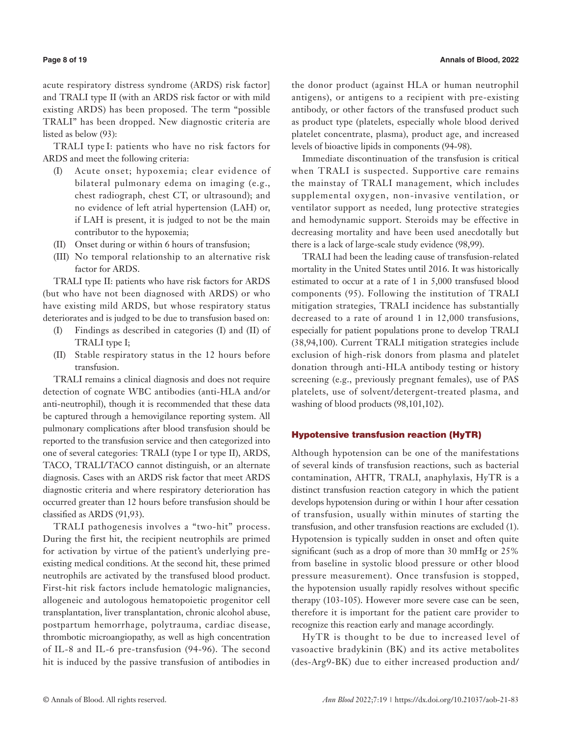acute respiratory distress syndrome (ARDS) risk factor] and TRALI type II (with an ARDS risk factor or with mild existing ARDS) has been proposed. The term "possible TRALI" has been dropped. New diagnostic criteria are listed as below (93):

TRALI type I: patients who have no risk factors for ARDS and meet the following criteria:

- (I) Acute onset; hypoxemia; clear evidence of bilateral pulmonary edema on imaging (e.g., chest radiograph, chest CT, or ultrasound); and no evidence of left atrial hypertension (LAH) or, if LAH is present, it is judged to not be the main contributor to the hypoxemia;
- (II) Onset during or within 6 hours of transfusion;
- (III) No temporal relationship to an alternative risk factor for ARDS.

TRALI type II: patients who have risk factors for ARDS (but who have not been diagnosed with ARDS) or who have existing mild ARDS, but whose respiratory status deteriorates and is judged to be due to transfusion based on:

- (I) Findings as described in categories (I) and (II) of TRALI type I;
- (II) Stable respiratory status in the 12 hours before transfusion.

TRALI remains a clinical diagnosis and does not require detection of cognate WBC antibodies (anti-HLA and/or anti-neutrophil), though it is recommended that these data be captured through a hemovigilance reporting system. All pulmonary complications after blood transfusion should be reported to the transfusion service and then categorized into one of several categories: TRALI (type I or type II), ARDS, TACO, TRALI/TACO cannot distinguish, or an alternate diagnosis. Cases with an ARDS risk factor that meet ARDS diagnostic criteria and where respiratory deterioration has occurred greater than 12 hours before transfusion should be classified as ARDS (91,93).

TRALI pathogenesis involves a "two-hit" process. During the first hit, the recipient neutrophils are primed for activation by virtue of the patient's underlying preexisting medical conditions. At the second hit, these primed neutrophils are activated by the transfused blood product. First-hit risk factors include hematologic malignancies, allogeneic and autologous hematopoietic progenitor cell transplantation, liver transplantation, chronic alcohol abuse, postpartum hemorrhage, polytrauma, cardiac disease, thrombotic microangiopathy, as well as high concentration of IL-8 and IL-6 pre-transfusion (94-96). The second hit is induced by the passive transfusion of antibodies in

the donor product (against HLA or human neutrophil antigens), or antigens to a recipient with pre-existing antibody, or other factors of the transfused product such as product type (platelets, especially whole blood derived platelet concentrate, plasma), product age, and increased levels of bioactive lipids in components (94-98).

Immediate discontinuation of the transfusion is critical when TRALI is suspected. Supportive care remains the mainstay of TRALI management, which includes supplemental oxygen, non-invasive ventilation, or ventilator support as needed, lung protective strategies and hemodynamic support. Steroids may be effective in decreasing mortality and have been used anecdotally but there is a lack of large-scale study evidence (98,99).

TRALI had been the leading cause of transfusion-related mortality in the United States until 2016. It was historically estimated to occur at a rate of 1 in 5,000 transfused blood components (95). Following the institution of TRALI mitigation strategies, TRALI incidence has substantially decreased to a rate of around 1 in 12,000 transfusions, especially for patient populations prone to develop TRALI (38,94,100). Current TRALI mitigation strategies include exclusion of high-risk donors from plasma and platelet donation through anti-HLA antibody testing or history screening (e.g., previously pregnant females), use of PAS platelets, use of solvent/detergent-treated plasma, and washing of blood products (98,101,102).

### Hypotensive transfusion reaction (HyTR)

Although hypotension can be one of the manifestations of several kinds of transfusion reactions, such as bacterial contamination, AHTR, TRALI, anaphylaxis, HyTR is a distinct transfusion reaction category in which the patient develops hypotension during or within 1 hour after cessation of transfusion, usually within minutes of starting the transfusion, and other transfusion reactions are excluded (1). Hypotension is typically sudden in onset and often quite significant (such as a drop of more than 30 mmHg or 25% from baseline in systolic blood pressure or other blood pressure measurement). Once transfusion is stopped, the hypotension usually rapidly resolves without specific therapy (103-105). However more severe case can be seen, therefore it is important for the patient care provider to recognize this reaction early and manage accordingly.

HyTR is thought to be due to increased level of vasoactive bradykinin (BK) and its active metabolites (des-Arg9-BK) due to either increased production and/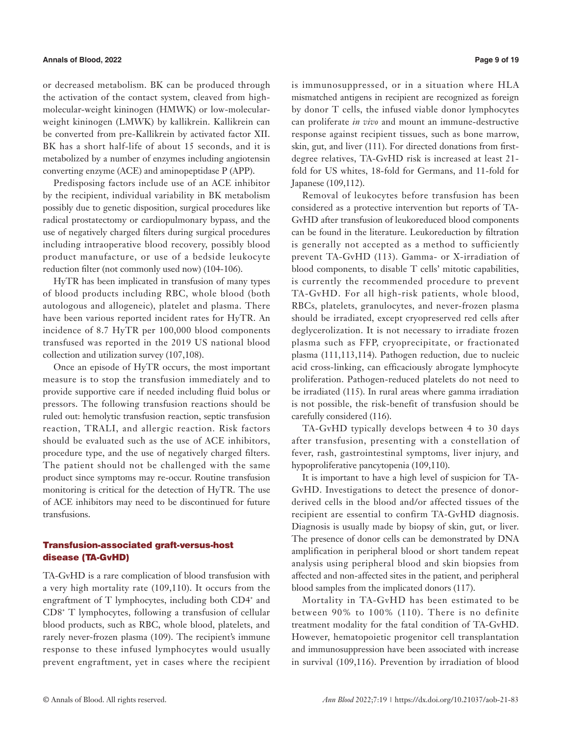or decreased metabolism. BK can be produced through the activation of the contact system, cleaved from highmolecular-weight kininogen (HMWK) or low-molecularweight kininogen (LMWK) by kallikrein. Kallikrein can be converted from pre-Kallikrein by activated factor XII. BK has a short half-life of about 15 seconds, and it is metabolized by a number of enzymes including angiotensin converting enzyme (ACE) and aminopeptidase P (APP).

Predisposing factors include use of an ACE inhibitor by the recipient, individual variability in BK metabolism possibly due to genetic disposition, surgical procedures like radical prostatectomy or cardiopulmonary bypass, and the use of negatively charged filters during surgical procedures including intraoperative blood recovery, possibly blood product manufacture, or use of a bedside leukocyte reduction filter (not commonly used now) (104-106).

HyTR has been implicated in transfusion of many types of blood products including RBC, whole blood (both autologous and allogeneic), platelet and plasma. There have been various reported incident rates for HyTR. An incidence of 8.7 HyTR per 100,000 blood components transfused was reported in the 2019 US national blood collection and utilization survey (107,108).

Once an episode of HyTR occurs, the most important measure is to stop the transfusion immediately and to provide supportive care if needed including fluid bolus or pressors. The following transfusion reactions should be ruled out: hemolytic transfusion reaction, septic transfusion reaction, TRALI, and allergic reaction. Risk factors should be evaluated such as the use of ACE inhibitors, procedure type, and the use of negatively charged filters. The patient should not be challenged with the same product since symptoms may re-occur. Routine transfusion monitoring is critical for the detection of HyTR. The use of ACE inhibitors may need to be discontinued for future transfusions.

# Transfusion-associated graft-versus-host disease (TA-GvHD)

TA-GvHD is a rare complication of blood transfusion with a very high mortality rate (109,110). It occurs from the engraftment of T lymphocytes, including both CD4<sup>+</sup> and CD8<sup>+</sup> T lymphocytes, following a transfusion of cellular blood products, such as RBC, whole blood, platelets, and rarely never-frozen plasma (109). The recipient's immune response to these infused lymphocytes would usually prevent engraftment, yet in cases where the recipient is immunosuppressed, or in a situation where HLA mismatched antigens in recipient are recognized as foreign by donor T cells, the infused viable donor lymphocytes can proliferate *in vivo* and mount an immune-destructive response against recipient tissues, such as bone marrow, skin, gut, and liver (111). For directed donations from firstdegree relatives, TA-GvHD risk is increased at least 21 fold for US whites, 18-fold for Germans, and 11-fold for Japanese (109,112).

Removal of leukocytes before transfusion has been considered as a protective intervention but reports of TA-GvHD after transfusion of leukoreduced blood components can be found in the literature. Leukoreduction by filtration is generally not accepted as a method to sufficiently prevent TA-GvHD (113). Gamma- or X-irradiation of blood components, to disable T cells' mitotic capabilities, is currently the recommended procedure to prevent TA-GvHD. For all high-risk patients, whole blood, RBCs, platelets, granulocytes, and never-frozen plasma should be irradiated, except cryopreserved red cells after deglycerolization. It is not necessary to irradiate frozen plasma such as FFP, cryoprecipitate, or fractionated plasma (111,113,114). Pathogen reduction, due to nucleic acid cross-linking, can efficaciously abrogate lymphocyte proliferation. Pathogen-reduced platelets do not need to be irradiated (115). In rural areas where gamma irradiation is not possible, the risk-benefit of transfusion should be carefully considered (116).

TA-GvHD typically develops between 4 to 30 days after transfusion, presenting with a constellation of fever, rash, gastrointestinal symptoms, liver injury, and hypoproliferative pancytopenia (109,110).

It is important to have a high level of suspicion for TA-GvHD. Investigations to detect the presence of donorderived cells in the blood and/or affected tissues of the recipient are essential to confirm TA-GvHD diagnosis. Diagnosis is usually made by biopsy of skin, gut, or liver. The presence of donor cells can be demonstrated by DNA amplification in peripheral blood or short tandem repeat analysis using peripheral blood and skin biopsies from affected and non-affected sites in the patient, and peripheral blood samples from the implicated donors (117).

Mortality in TA-GvHD has been estimated to be between 90% to 100% (110). There is no definite treatment modality for the fatal condition of TA-GvHD. However, hematopoietic progenitor cell transplantation and immunosuppression have been associated with increase in survival (109,116). Prevention by irradiation of blood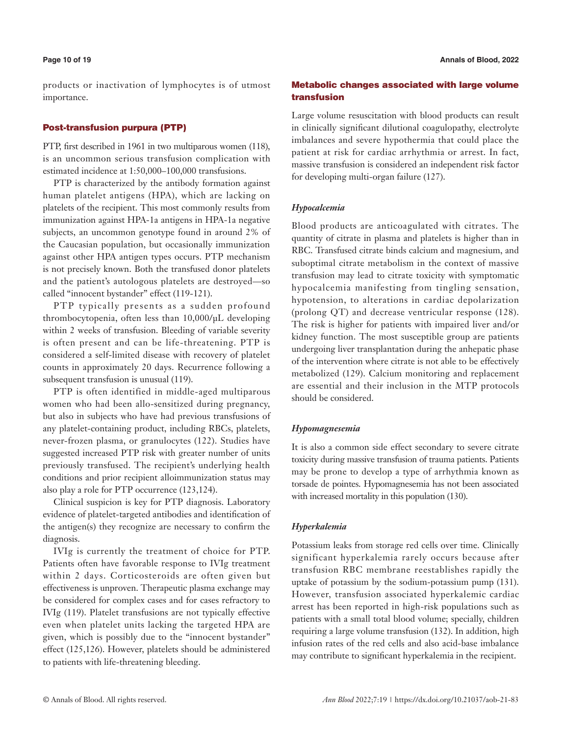products or inactivation of lymphocytes is of utmost importance.

# Post-transfusion purpura (PTP)

PTP, first described in 1961 in two multiparous women (118), is an uncommon serious transfusion complication with estimated incidence at 1:50,000–100,000 transfusions.

PTP is characterized by the antibody formation against human platelet antigens (HPA), which are lacking on platelets of the recipient. This most commonly results from immunization against HPA-1a antigens in HPA-1a negative subjects, an uncommon genotype found in around 2% of the Caucasian population, but occasionally immunization against other HPA antigen types occurs. PTP mechanism is not precisely known. Both the transfused donor platelets and the patient's autologous platelets are destroyed—so called "innocent bystander" effect (119-121).

PTP typically presents as a sudden profound thrombocytopenia, often less than 10,000/μL developing within 2 weeks of transfusion. Bleeding of variable severity is often present and can be life-threatening. PTP is considered a self-limited disease with recovery of platelet counts in approximately 20 days. Recurrence following a subsequent transfusion is unusual (119).

PTP is often identified in middle-aged multiparous women who had been allo-sensitized during pregnancy, but also in subjects who have had previous transfusions of any platelet-containing product, including RBCs, platelets, never-frozen plasma, or granulocytes (122). Studies have suggested increased PTP risk with greater number of units previously transfused. The recipient's underlying health conditions and prior recipient alloimmunization status may also play a role for PTP occurrence (123,124).

Clinical suspicion is key for PTP diagnosis. Laboratory evidence of platelet-targeted antibodies and identification of the antigen(s) they recognize are necessary to confirm the diagnosis.

IVIg is currently the treatment of choice for PTP. Patients often have favorable response to IVIg treatment within 2 days. Corticosteroids are often given but effectiveness is unproven. Therapeutic plasma exchange may be considered for complex cases and for cases refractory to IVIg (119). Platelet transfusions are not typically effective even when platelet units lacking the targeted HPA are given, which is possibly due to the "innocent bystander" effect (125,126). However, platelets should be administered to patients with life-threatening bleeding.

# Metabolic changes associated with large volume transfusion

Large volume resuscitation with blood products can result in clinically significant dilutional coagulopathy, electrolyte imbalances and severe hypothermia that could place the patient at risk for cardiac arrhythmia or arrest. In fact, massive transfusion is considered an independent risk factor for developing multi-organ failure (127).

# *Hypocalcemia*

Blood products are anticoagulated with citrates. The quantity of citrate in plasma and platelets is higher than in RBC. Transfused citrate binds calcium and magnesium, and suboptimal citrate metabolism in the context of massive transfusion may lead to citrate toxicity with symptomatic hypocalcemia manifesting from tingling sensation, hypotension, to alterations in cardiac depolarization (prolong QT) and decrease ventricular response (128). The risk is higher for patients with impaired liver and/or kidney function. The most susceptible group are patients undergoing liver transplantation during the anhepatic phase of the intervention where citrate is not able to be effectively metabolized (129). Calcium monitoring and replacement are essential and their inclusion in the MTP protocols should be considered.

# *Hypomagnesemia*

It is also a common side effect secondary to severe citrate toxicity during massive transfusion of trauma patients. Patients may be prone to develop a type of arrhythmia known as torsade de pointes. Hypomagnesemia has not been associated with increased mortality in this population (130).

#### *Hyperkalemia*

Potassium leaks from storage red cells over time. Clinically significant hyperkalemia rarely occurs because after transfusion RBC membrane reestablishes rapidly the uptake of potassium by the sodium-potassium pump (131). However, transfusion associated hyperkalemic cardiac arrest has been reported in high-risk populations such as patients with a small total blood volume; specially, children requiring a large volume transfusion (132). In addition, high infusion rates of the red cells and also acid-base imbalance may contribute to significant hyperkalemia in the recipient.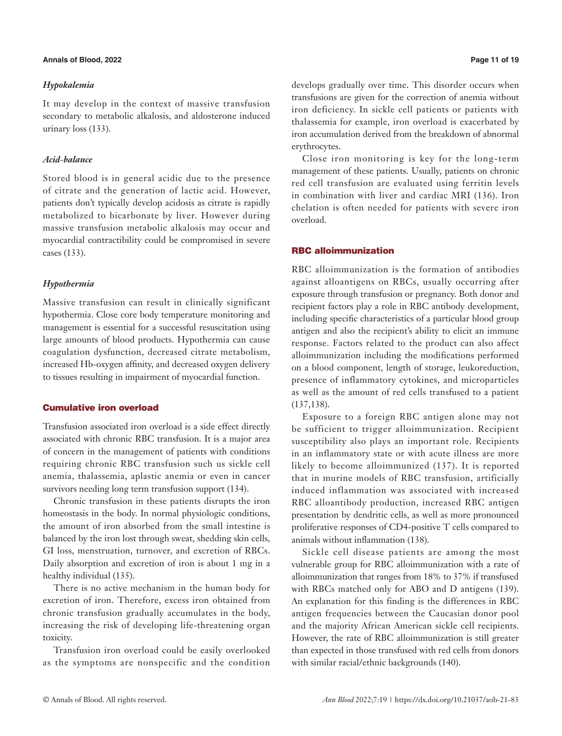# **Annals of Blood, 2022 Page 11 of 19**

# *Hypokalemia*

It may develop in the context of massive transfusion secondary to metabolic alkalosis, and aldosterone induced urinary loss (133).

# *Acid*-*balance*

Stored blood is in general acidic due to the presence of citrate and the generation of lactic acid. However, patients don't typically develop acidosis as citrate is rapidly metabolized to bicarbonate by liver. However during massive transfusion metabolic alkalosis may occur and myocardial contractibility could be compromised in severe cases (133).

# *Hypothermia*

Massive transfusion can result in clinically significant hypothermia. Close core body temperature monitoring and management is essential for a successful resuscitation using large amounts of blood products. Hypothermia can cause coagulation dysfunction, decreased citrate metabolism, increased Hb-oxygen affinity, and decreased oxygen delivery to tissues resulting in impairment of myocardial function.

# Cumulative iron overload

Transfusion associated iron overload is a side effect directly associated with chronic RBC transfusion. It is a major area of concern in the management of patients with conditions requiring chronic RBC transfusion such us sickle cell anemia, thalassemia, aplastic anemia or even in cancer survivors needing long term transfusion support (134).

Chronic transfusion in these patients disrupts the iron homeostasis in the body. In normal physiologic conditions, the amount of iron absorbed from the small intestine is balanced by the iron lost through sweat, shedding skin cells, GI loss, menstruation, turnover, and excretion of RBCs. Daily absorption and excretion of iron is about 1 mg in a healthy individual (135).

There is no active mechanism in the human body for excretion of iron. Therefore, excess iron obtained from chronic transfusion gradually accumulates in the body, increasing the risk of developing life-threatening organ toxicity.

Transfusion iron overload could be easily overlooked as the symptoms are nonspecific and the condition develops gradually over time. This disorder occurs when transfusions are given for the correction of anemia without iron deficiency. In sickle cell patients or patients with thalassemia for example, iron overload is exacerbated by iron accumulation derived from the breakdown of abnormal erythrocytes.

Close iron monitoring is key for the long-term management of these patients. Usually, patients on chronic red cell transfusion are evaluated using ferritin levels in combination with liver and cardiac MRI (136). Iron chelation is often needed for patients with severe iron overload.

# RBC alloimmunization

RBC alloimmunization is the formation of antibodies against alloantigens on RBCs, usually occurring after exposure through transfusion or pregnancy. Both donor and recipient factors play a role in RBC antibody development, including specific characteristics of a particular blood group antigen and also the recipient's ability to elicit an immune response. Factors related to the product can also affect alloimmunization including the modifications performed on a blood component, length of storage, leukoreduction, presence of inflammatory cytokines, and microparticles as well as the amount of red cells transfused to a patient (137,138).

Exposure to a foreign RBC antigen alone may not be sufficient to trigger alloimmunization. Recipient susceptibility also plays an important role. Recipients in an inflammatory state or with acute illness are more likely to become alloimmunized (137). It is reported that in murine models of RBC transfusion, artificially induced inflammation was associated with increased RBC alloantibody production, increased RBC antigen presentation by dendritic cells, as well as more pronounced proliferative responses of CD4-positive T cells compared to animals without inflammation (138).

Sickle cell disease patients are among the most vulnerable group for RBC alloimmunization with a rate of alloimmunization that ranges from 18% to 37% if transfused with RBCs matched only for ABO and D antigens (139). An explanation for this finding is the differences in RBC antigen frequencies between the Caucasian donor pool and the majority African American sickle cell recipients. However, the rate of RBC alloimmunization is still greater than expected in those transfused with red cells from donors with similar racial/ethnic backgrounds (140).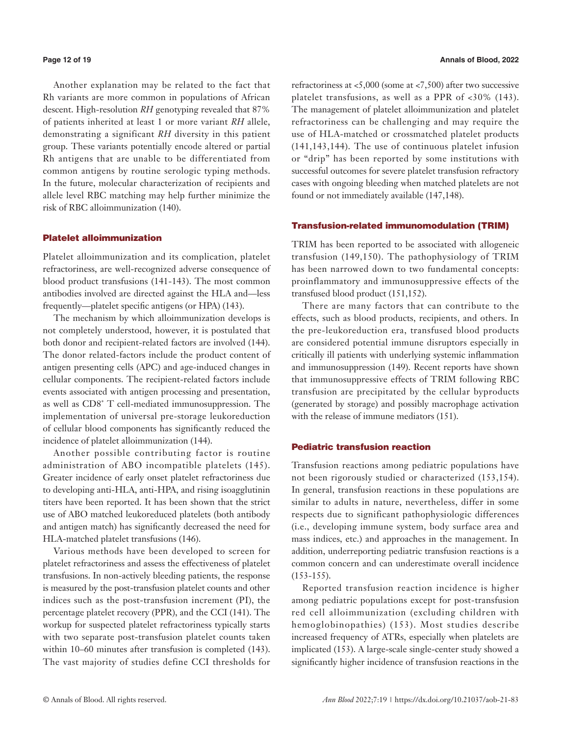Another explanation may be related to the fact that Rh variants are more common in populations of African descent. High-resolution *RH* genotyping revealed that 87% of patients inherited at least 1 or more variant *RH* allele, demonstrating a significant *RH* diversity in this patient group. These variants potentially encode altered or partial Rh antigens that are unable to be differentiated from common antigens by routine serologic typing methods. In the future, molecular characterization of recipients and allele level RBC matching may help further minimize the risk of RBC alloimmunization (140).

#### Platelet alloimmunization

Platelet alloimmunization and its complication, platelet refractoriness, are well-recognized adverse consequence of blood product transfusions (141-143). The most common antibodies involved are directed against the HLA and—less frequently—platelet specific antigens (or HPA) (143).

The mechanism by which alloimmunization develops is not completely understood, however, it is postulated that both donor and recipient-related factors are involved (144). The donor related-factors include the product content of antigen presenting cells (APC) and age-induced changes in cellular components. The recipient-related factors include events associated with antigen processing and presentation, as well as CD8<sup>+</sup> T cell-mediated immunosuppression. The implementation of universal pre-storage leukoreduction of cellular blood components has significantly reduced the incidence of platelet alloimmunization (144).

Another possible contributing factor is routine administration of ABO incompatible platelets (145). Greater incidence of early onset platelet refractoriness due to developing anti-HLA, anti-HPA, and rising isoagglutinin titers have been reported. It has been shown that the strict use of ABO matched leukoreduced platelets (both antibody and antigen match) has significantly decreased the need for HLA-matched platelet transfusions (146).

Various methods have been developed to screen for platelet refractoriness and assess the effectiveness of platelet transfusions. In non-actively bleeding patients, the response is measured by the post-transfusion platelet counts and other indices such as the post-transfusion increment (PI), the percentage platelet recovery (PPR), and the CCI (141). The workup for suspected platelet refractoriness typically starts with two separate post-transfusion platelet counts taken within 10–60 minutes after transfusion is completed (143). The vast majority of studies define CCI thresholds for

refractoriness at <5,000 (some at <7,500) after two successive platelet transfusions, as well as a PPR of <30% (143). The management of platelet alloimmunization and platelet refractoriness can be challenging and may require the use of HLA-matched or crossmatched platelet products (141,143,144). The use of continuous platelet infusion or "drip" has been reported by some institutions with successful outcomes for severe platelet transfusion refractory cases with ongoing bleeding when matched platelets are not found or not immediately available (147,148).

# Transfusion-related immunomodulation (TRIM)

TRIM has been reported to be associated with allogeneic transfusion (149,150). The pathophysiology of TRIM has been narrowed down to two fundamental concepts: proinflammatory and immunosuppressive effects of the transfused blood product (151,152).

There are many factors that can contribute to the effects, such as blood products, recipients, and others. In the pre-leukoreduction era, transfused blood products are considered potential immune disruptors especially in critically ill patients with underlying systemic inflammation and immunosuppression (149). Recent reports have shown that immunosuppressive effects of TRIM following RBC transfusion are precipitated by the cellular byproducts (generated by storage) and possibly macrophage activation with the release of immune mediators (151).

# Pediatric transfusion reaction

Transfusion reactions among pediatric populations have not been rigorously studied or characterized (153,154). In general, transfusion reactions in these populations are similar to adults in nature, nevertheless, differ in some respects due to significant pathophysiologic differences (i.e., developing immune system, body surface area and mass indices, etc.) and approaches in the management. In addition, underreporting pediatric transfusion reactions is a common concern and can underestimate overall incidence  $(153-155).$ 

Reported transfusion reaction incidence is higher among pediatric populations except for post-transfusion red cell alloimmunization (excluding children with hemoglobinopathies) (153). Most studies describe increased frequency of ATRs, especially when platelets are implicated (153). A large-scale single-center study showed a significantly higher incidence of transfusion reactions in the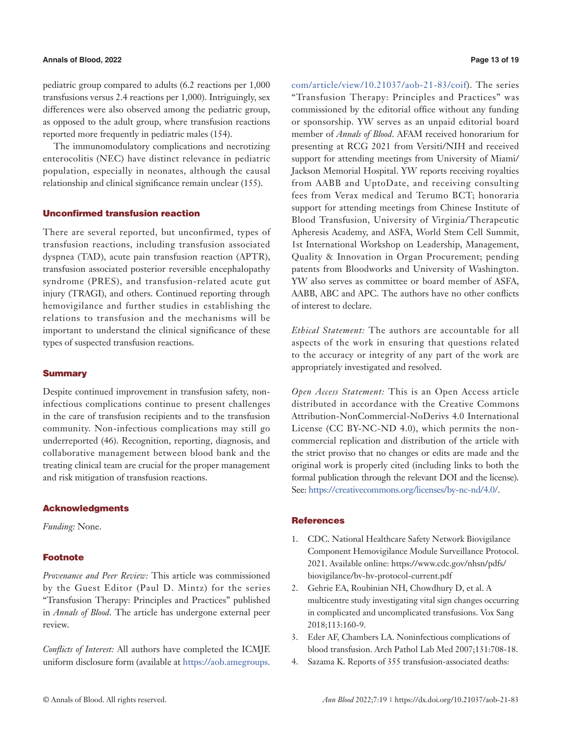### **Annals of Blood, 2022 Page 13 of 19**

pediatric group compared to adults (6.2 reactions per 1,000 transfusions versus 2.4 reactions per 1,000). Intriguingly, sex differences were also observed among the pediatric group, as opposed to the adult group, where transfusion reactions reported more frequently in pediatric males (154).

The immunomodulatory complications and necrotizing enterocolitis (NEC) have distinct relevance in pediatric population, especially in neonates, although the causal relationship and clinical significance remain unclear (155).

#### Unconfirmed transfusion reaction

There are several reported, but unconfirmed, types of transfusion reactions, including transfusion associated dyspnea (TAD), acute pain transfusion reaction (APTR), transfusion associated posterior reversible encephalopathy syndrome (PRES), and transfusion-related acute gut injury (TRAGI), and others. Continued reporting through hemovigilance and further studies in establishing the relations to transfusion and the mechanisms will be important to understand the clinical significance of these types of suspected transfusion reactions.

# **Summary**

Despite continued improvement in transfusion safety, noninfectious complications continue to present challenges in the care of transfusion recipients and to the transfusion community. Non-infectious complications may still go underreported (46). Recognition, reporting, diagnosis, and collaborative management between blood bank and the treating clinical team are crucial for the proper management and risk mitigation of transfusion reactions.

#### Acknowledgments

*Funding:* None.

# **Footnote**

*Provenance and Peer Review:* This article was commissioned by the Guest Editor (Paul D. Mintz) for the series "Transfusion Therapy: Principles and Practices" published in *Annals of Blood*. The article has undergone external peer review.

*Conflicts of Interest:* All authors have completed the ICMJE uniform disclosure form (available at [https://aob.amegroups.](https://aob.amegroups.com/article/view/10.21037/aob-21-83/coif)

[com/article/view/10.21037/aob-21-83/coif](https://aob.amegroups.com/article/view/10.21037/aob-21-83/coif)). The series "Transfusion Therapy: Principles and Practices" was commissioned by the editorial office without any funding or sponsorship. YW serves as an unpaid editorial board member of *Annals of Blood*. AFAM received honorarium for presenting at RCG 2021 from Versiti/NIH and received support for attending meetings from University of Miami/ Jackson Memorial Hospital. YW reports receiving royalties from AABB and UptoDate, and receiving consulting fees from Verax medical and Terumo BCT; honoraria support for attending meetings from Chinese Institute of Blood Transfusion, University of Virginia/Therapeutic Apheresis Academy, and ASFA, World Stem Cell Summit, 1st International Workshop on Leadership, Management, Quality & Innovation in Organ Procurement; pending patents from Bloodworks and University of Washington. YW also serves as committee or board member of ASFA, AABB, ABC and APC. The authors have no other conflicts of interest to declare.

*Ethical Statement:* The authors are accountable for all aspects of the work in ensuring that questions related to the accuracy or integrity of any part of the work are appropriately investigated and resolved.

*Open Access Statement:* This is an Open Access article distributed in accordance with the Creative Commons Attribution-NonCommercial-NoDerivs 4.0 International License (CC BY-NC-ND 4.0), which permits the noncommercial replication and distribution of the article with the strict proviso that no changes or edits are made and the original work is properly cited (including links to both the formal publication through the relevant DOI and the license). See: [https://creativecommons.org/licenses/by-nc-nd/4.0/.](https://creativecommons.org/licenses/by-nc-nd/4.0/)

# **References**

- 1. CDC. National Healthcare Safety Network Biovigilance Component Hemovigilance Module Surveillance Protocol. 2021. Available online: https://www.cdc.gov/nhsn/pdfs/ biovigilance/bv-hv-protocol-current.pdf
- 2. Gehrie EA, Roubinian NH, Chowdhury D, et al. A multicentre study investigating vital sign changes occurring in complicated and uncomplicated transfusions. Vox Sang 2018;113:160-9.
- 3. Eder AF, Chambers LA. Noninfectious complications of blood transfusion. Arch Pathol Lab Med 2007;131:708-18.
- 4. Sazama K. Reports of 355 transfusion-associated deaths: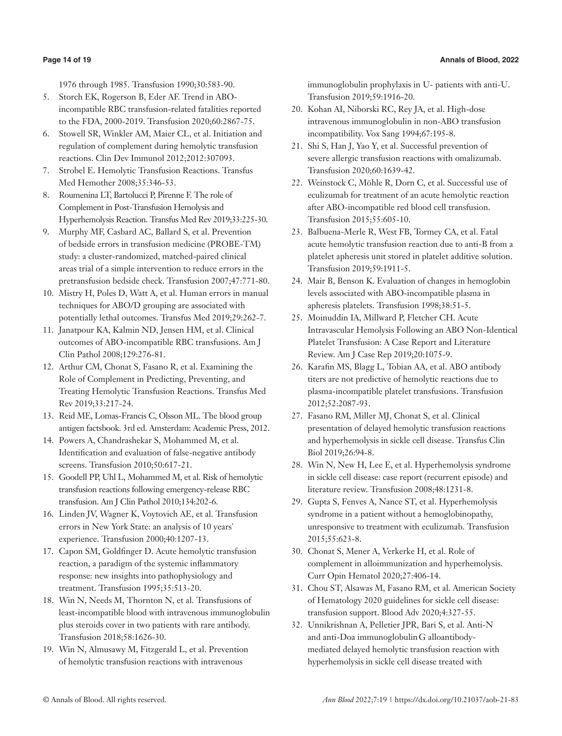1976 through 1985. Transfusion 1990;30:583-90.

- 5. Storch EK, Rogerson B, Eder AF. Trend in ABOincompatible RBC transfusion-related fatalities reported to the FDA, 2000-2019. Transfusion 2020;60:2867-75.
- 6. Stowell SR, Winkler AM, Maier CL, et al. Initiation and regulation of complement during hemolytic transfusion reactions. Clin Dev Immunol 2012;2012:307093.
- 7. Strobel E. Hemolytic Transfusion Reactions. Transfus Med Hemother 2008;35:346-53.
- 8. Roumenina LT, Bartolucci P, Pirenne F. The role of Complement in Post-Transfusion Hemolysis and Hyperhemolysis Reaction. Transfus Med Rev 2019;33:225-30.
- 9. Murphy MF, Casbard AC, Ballard S, et al. Prevention of bedside errors in transfusion medicine (PROBE-TM) study: a cluster-randomized, matched-paired clinical areas trial of a simple intervention to reduce errors in the pretransfusion bedside check. Transfusion 2007;47:771-80.
- 10. Mistry H, Poles D, Watt A, et al. Human errors in manual techniques for ABO/D grouping are associated with potentially lethal outcomes. Transfus Med 2019;29:262-7.
- 11. Janatpour KA, Kalmin ND, Jensen HM, et al. Clinical outcomes of ABO-incompatible RBC transfusions. Am J Clin Pathol 2008;129:276-81.
- 12. Arthur CM, Chonat S, Fasano R, et al. Examining the Role of Complement in Predicting, Preventing, and Treating Hemolytic Transfusion Reactions. Transfus Med Rev 2019;33:217-24.
- 13. Reid ME, Lomas-Francis C, Olsson ML. The blood group antigen factsbook. 3rd ed. Amsterdam: Academic Press, 2012.
- 14. Powers A, Chandrashekar S, Mohammed M, et al. Identification and evaluation of false-negative antibody screens. Transfusion 2010;50:617-21.
- 15. Goodell PP, Uhl L, Mohammed M, et al. Risk of hemolytic transfusion reactions following emergency-release RBC transfusion. Am J Clin Pathol 2010;134:202-6.
- 16. Linden JV, Wagner K, Voytovich AE, et al. Transfusion errors in New York State: an analysis of 10 years' experience. Transfusion 2000;40:1207-13.
- 17. Capon SM, Goldfinger D. Acute hemolytic transfusion reaction, a paradigm of the systemic inflammatory response: new insights into pathophysiology and treatment. Transfusion 1995;35:513-20.
- 18. Win N, Needs M, Thornton N, et al. Transfusions of least-incompatible blood with intravenous immunoglobulin plus steroids cover in two patients with rare antibody. Transfusion 2018;58:1626-30.
- 19. Win N, Almusawy M, Fitzgerald L, et al. Prevention of hemolytic transfusion reactions with intravenous

immunoglobulin prophylaxis in U- patients with anti-U. Transfusion 2019;59:1916-20.

- 20. Kohan AI, Niborski RC, Rey JA, et al. High-dose intravenous immunoglobulin in non-ABO transfusion incompatibility. Vox Sang 1994;67:195-8.
- 21. Shi S, Han J, Yao Y, et al. Successful prevention of severe allergic transfusion reactions with omalizumab. Transfusion 2020;60:1639-42.
- 22. Weinstock C, Möhle R, Dorn C, et al. Successful use of eculizumab for treatment of an acute hemolytic reaction after ABO-incompatible red blood cell transfusion. Transfusion 2015;55:605-10.
- 23. Balbuena-Merle R, West FB, Tormey CA, et al. Fatal acute hemolytic transfusion reaction due to anti-B from a platelet apheresis unit stored in platelet additive solution. Transfusion 2019;59:1911-5.
- 24. Mair B, Benson K. Evaluation of changes in hemoglobin levels associated with ABO-incompatible plasma in apheresis platelets. Transfusion 1998;38:51-5.
- 25. Moinuddin IA, Millward P, Fletcher CH. Acute Intravascular Hemolysis Following an ABO Non-Identical Platelet Transfusion: A Case Report and Literature Review. Am J Case Rep 2019;20:1075-9.
- 26. Karafin MS, Blagg L, Tobian AA, et al. ABO antibody titers are not predictive of hemolytic reactions due to plasma-incompatible platelet transfusions. Transfusion 2012;52:2087-93.
- 27. Fasano RM, Miller MJ, Chonat S, et al. Clinical presentation of delayed hemolytic transfusion reactions and hyperhemolysis in sickle cell disease. Transfus Clin Biol 2019;26:94-8.
- 28. Win N, New H, Lee E, et al. Hyperhemolysis syndrome in sickle cell disease: case report (recurrent episode) and literature review. Transfusion 2008;48:1231-8.
- 29. Gupta S, Fenves A, Nance ST, et al. Hyperhemolysis syndrome in a patient without a hemoglobinopathy, unresponsive to treatment with eculizumab. Transfusion 2015;55:623-8.
- 30. Chonat S, Mener A, Verkerke H, et al. Role of complement in alloimmunization and hyperhemolysis. Curr Opin Hematol 2020;27:406-14.
- 31. Chou ST, Alsawas M, Fasano RM, et al. American Society of Hematology 2020 guidelines for sickle cell disease: transfusion support. Blood Adv 2020;4:327-55.
- 32. Unnikrishnan A, Pelletier JPR, Bari S, et al. Anti-N and anti-Doa immunoglobulinG alloantibodymediated delayed hemolytic transfusion reaction with hyperhemolysis in sickle cell disease treated with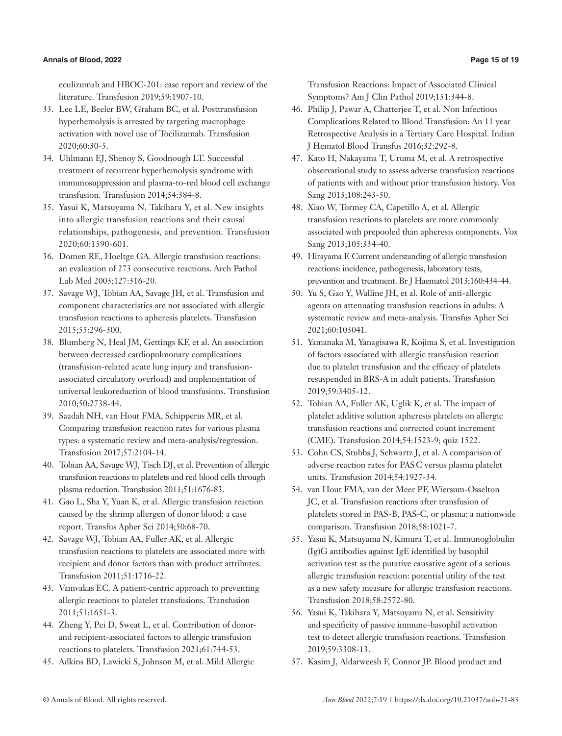# **Annals of Blood, 2022 Page 15 of 19**

eculizumab and HBOC-201: case report and review of the literature. Transfusion 2019;59:1907-10.

- 33. Lee LE, Beeler BW, Graham BC, et al. Posttransfusion hyperhemolysis is arrested by targeting macrophage activation with novel use of Tocilizumab. Transfusion 2020;60:30-5.
- 34. Uhlmann EJ, Shenoy S, Goodnough LT. Successful treatment of recurrent hyperhemolysis syndrome with immunosuppression and plasma-to-red blood cell exchange transfusion. Transfusion 2014;54:384-8.
- 35. Yasui K, Matsuyama N, Takihara Y, et al. New insights into allergic transfusion reactions and their causal relationships, pathogenesis, and prevention. Transfusion 2020;60:1590-601.
- 36. Domen RE, Hoeltge GA. Allergic transfusion reactions: an evaluation of 273 consecutive reactions. Arch Pathol Lab Med 2003;127:316-20.
- 37. Savage WJ, Tobian AA, Savage JH, et al. Transfusion and component characteristics are not associated with allergic transfusion reactions to apheresis platelets. Transfusion 2015;55:296-300.
- 38. Blumberg N, Heal JM, Gettings KF, et al. An association between decreased cardiopulmonary complications (transfusion-related acute lung injury and transfusionassociated circulatory overload) and implementation of universal leukoreduction of blood transfusions. Transfusion 2010;50:2738-44.
- 39. Saadah NH, van Hout FMA, Schipperus MR, et al. Comparing transfusion reaction rates for various plasma types: a systematic review and meta-analysis/regression. Transfusion 2017;57:2104-14.
- 40. Tobian AA, Savage WJ, Tisch DJ, et al. Prevention of allergic transfusion reactions to platelets and red blood cells through plasma reduction. Transfusion 2011;51:1676-83.
- 41. Gao L, Sha Y, Yuan K, et al. Allergic transfusion reaction caused by the shrimp allergen of donor blood: a case report. Transfus Apher Sci 2014;50:68-70.
- 42. Savage WJ, Tobian AA, Fuller AK, et al. Allergic transfusion reactions to platelets are associated more with recipient and donor factors than with product attributes. Transfusion 2011;51:1716-22.
- 43. Vamvakas EC. A patient-centric approach to preventing allergic reactions to platelet transfusions. Transfusion 2011;51:1651-3.
- 44. Zheng Y, Pei D, Sweat L, et al. Contribution of donorand recipient-associated factors to allergic transfusion reactions to platelets. Transfusion 2021;61:744-53.
- 45. Adkins BD, Lawicki S, Johnson M, et al. Mild Allergic

Transfusion Reactions: Impact of Associated Clinical Symptoms? Am J Clin Pathol 2019;151:344-8.

- 46. Philip J, Pawar A, Chatterjee T, et al. Non Infectious Complications Related to Blood Transfusion: An 11 year Retrospective Analysis in a Tertiary Care Hospital. Indian J Hematol Blood Transfus 2016;32:292-8.
- 47. Kato H, Nakayama T, Uruma M, et al. A retrospective observational study to assess adverse transfusion reactions of patients with and without prior transfusion history. Vox Sang 2015;108:243-50.
- 48. Xiao W, Tormey CA, Capetillo A, et al. Allergic transfusion reactions to platelets are more commonly associated with prepooled than apheresis components. Vox Sang 2013;105:334-40.
- 49. Hirayama F. Current understanding of allergic transfusion reactions: incidence, pathogenesis, laboratory tests, prevention and treatment. Br J Haematol 2013;160:434-44.
- 50. Yu S, Gao Y, Walline JH, et al. Role of anti-allergic agents on attenuating transfusion reactions in adults: A systematic review and meta-analysis. Transfus Apher Sci 2021;60:103041.
- 51. Yamanaka M, Yanagisawa R, Kojima S, et al. Investigation of factors associated with allergic transfusion reaction due to platelet transfusion and the efficacy of platelets resuspended in BRS-A in adult patients. Transfusion 2019;59:3405-12.
- 52. Tobian AA, Fuller AK, Uglik K, et al. The impact of platelet additive solution apheresis platelets on allergic transfusion reactions and corrected count increment (CME). Transfusion 2014;54:1523-9; quiz 1522.
- 53. Cohn CS, Stubbs J, Schwartz J, et al. A comparison of adverse reaction rates for PASC versus plasma platelet units. Transfusion 2014;54:1927-34.
- 54. van Hout FMA, van der Meer PF, Wiersum-Osselton JC, et al. Transfusion reactions after transfusion of platelets stored in PAS-B, PAS-C, or plasma: a nationwide comparison. Transfusion 2018;58:1021-7.
- 55. Yasui K, Matsuyama N, Kimura T, et al. Immunoglobulin (Ig)G antibodies against IgE identified by basophil activation test as the putative causative agent of a serious allergic transfusion reaction: potential utility of the test as a new safety measure for allergic transfusion reactions. Transfusion 2018;58:2572-80.
- 56. Yasui K, Takihara Y, Matsuyama N, et al. Sensitivity and specificity of passive immune-basophil activation test to detect allergic transfusion reactions. Transfusion 2019;59:3308-13.
- 57. Kasim J, Aldarweesh F, Connor JP. Blood product and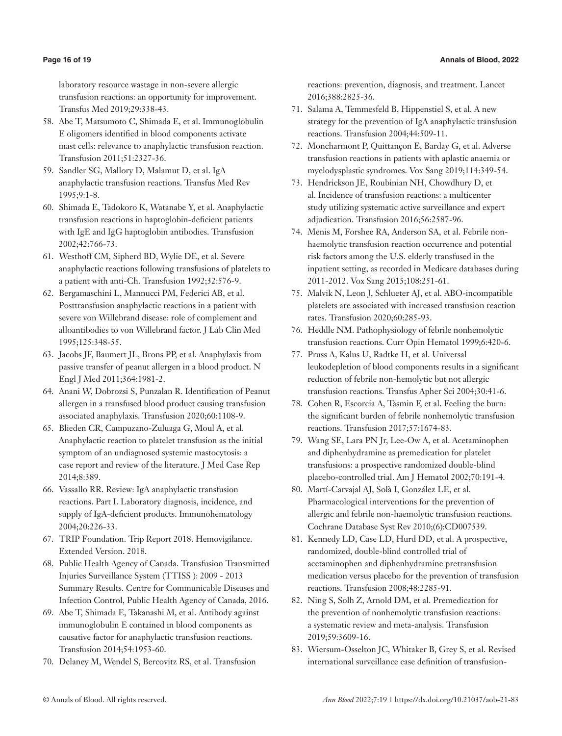laboratory resource wastage in non-severe allergic transfusion reactions: an opportunity for improvement. Transfus Med 2019;29:338-43.

- 58. Abe T, Matsumoto C, Shimada E, et al. Immunoglobulin E oligomers identified in blood components activate mast cells: relevance to anaphylactic transfusion reaction. Transfusion 2011;51:2327-36.
- 59. Sandler SG, Mallory D, Malamut D, et al. IgA anaphylactic transfusion reactions. Transfus Med Rev 1995;9:1-8.
- 60. Shimada E, Tadokoro K, Watanabe Y, et al. Anaphylactic transfusion reactions in haptoglobin-deficient patients with IgE and IgG haptoglobin antibodies. Transfusion 2002;42:766-73.
- 61. Westhoff CM, Sipherd BD, Wylie DE, et al. Severe anaphylactic reactions following transfusions of platelets to a patient with anti-Ch. Transfusion 1992;32:576-9.
- 62. Bergamaschini L, Mannucci PM, Federici AB, et al. Posttransfusion anaphylactic reactions in a patient with severe von Willebrand disease: role of complement and alloantibodies to von Willebrand factor. J Lab Clin Med 1995;125:348-55.
- 63. Jacobs JF, Baumert JL, Brons PP, et al. Anaphylaxis from passive transfer of peanut allergen in a blood product. N Engl J Med 2011;364:1981-2.
- 64. Anani W, Dobrozsi S, Punzalan R. Identification of Peanut allergen in a transfused blood product causing transfusion associated anaphylaxis. Transfusion 2020;60:1108-9.
- 65. Blieden CR, Campuzano-Zuluaga G, Moul A, et al. Anaphylactic reaction to platelet transfusion as the initial symptom of an undiagnosed systemic mastocytosis: a case report and review of the literature. J Med Case Rep 2014;8:389.
- 66. Vassallo RR. Review: IgA anaphylactic transfusion reactions. Part I. Laboratory diagnosis, incidence, and supply of IgA-deficient products. Immunohematology 2004;20:226-33.
- 67. TRIP Foundation. Trip Report 2018. Hemovigilance. Extended Version. 2018.
- 68. Public Health Agency of Canada. Transfusion Transmitted Injuries Surveillance System (TTISS ): 2009 - 2013 Summary Results. Centre for Communicable Diseases and Infection Control, Public Health Agency of Canada, 2016.
- 69. Abe T, Shimada E, Takanashi M, et al. Antibody against immunoglobulin E contained in blood components as causative factor for anaphylactic transfusion reactions. Transfusion 2014;54:1953-60.
- 70. Delaney M, Wendel S, Bercovitz RS, et al. Transfusion

reactions: prevention, diagnosis, and treatment. Lancet 2016;388:2825-36.

- 71. Salama A, Temmesfeld B, Hippenstiel S, et al. A new strategy for the prevention of IgA anaphylactic transfusion reactions. Transfusion 2004;44:509-11.
- 72. Moncharmont P, Quittançon E, Barday G, et al. Adverse transfusion reactions in patients with aplastic anaemia or myelodysplastic syndromes. Vox Sang 2019;114:349-54.
- 73. Hendrickson JE, Roubinian NH, Chowdhury D, et al. Incidence of transfusion reactions: a multicenter study utilizing systematic active surveillance and expert adjudication. Transfusion 2016;56:2587-96.
- 74. Menis M, Forshee RA, Anderson SA, et al. Febrile nonhaemolytic transfusion reaction occurrence and potential risk factors among the U.S. elderly transfused in the inpatient setting, as recorded in Medicare databases during 2011-2012. Vox Sang 2015;108:251-61.
- 75. Malvik N, Leon J, Schlueter AJ, et al. ABO-incompatible platelets are associated with increased transfusion reaction rates. Transfusion 2020;60:285-93.
- 76. Heddle NM. Pathophysiology of febrile nonhemolytic transfusion reactions. Curr Opin Hematol 1999;6:420-6.
- 77. Pruss A, Kalus U, Radtke H, et al. Universal leukodepletion of blood components results in a significant reduction of febrile non-hemolytic but not allergic transfusion reactions. Transfus Apher Sci 2004;30:41-6.
- 78. Cohen R, Escorcia A, Tasmin F, et al. Feeling the burn: the significant burden of febrile nonhemolytic transfusion reactions. Transfusion 2017;57:1674-83.
- 79. Wang SE, Lara PN Jr, Lee-Ow A, et al. Acetaminophen and diphenhydramine as premedication for platelet transfusions: a prospective randomized double-blind placebo-controlled trial. Am J Hematol 2002;70:191-4.
- 80. Martí-Carvajal AJ, Solà I, González LE, et al. Pharmacological interventions for the prevention of allergic and febrile non-haemolytic transfusion reactions. Cochrane Database Syst Rev 2010;(6):CD007539.
- 81. Kennedy LD, Case LD, Hurd DD, et al. A prospective, randomized, double-blind controlled trial of acetaminophen and diphenhydramine pretransfusion medication versus placebo for the prevention of transfusion reactions. Transfusion 2008;48:2285-91.
- 82. Ning S, Solh Z, Arnold DM, et al. Premedication for the prevention of nonhemolytic transfusion reactions: a systematic review and meta-analysis. Transfusion 2019;59:3609-16.
- 83. Wiersum-Osselton JC, Whitaker B, Grey S, et al. Revised international surveillance case definition of transfusion-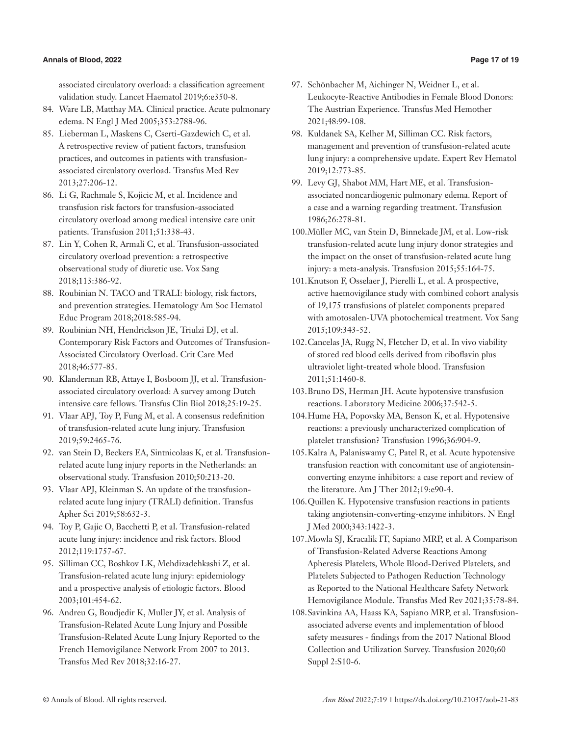# **Annals of Blood, 2022 Page 17 of 19**

associated circulatory overload: a classification agreement validation study. Lancet Haematol 2019;6:e350-8.

- 84. Ware LB, Matthay MA. Clinical practice. Acute pulmonary edema. N Engl J Med 2005;353:2788-96.
- 85. Lieberman L, Maskens C, Cserti-Gazdewich C, et al. A retrospective review of patient factors, transfusion practices, and outcomes in patients with transfusionassociated circulatory overload. Transfus Med Rev 2013;27:206-12.
- 86. Li G, Rachmale S, Kojicic M, et al. Incidence and transfusion risk factors for transfusion-associated circulatory overload among medical intensive care unit patients. Transfusion 2011;51:338-43.
- 87. Lin Y, Cohen R, Armali C, et al. Transfusion-associated circulatory overload prevention: a retrospective observational study of diuretic use. Vox Sang 2018;113:386-92.
- 88. Roubinian N. TACO and TRALI: biology, risk factors, and prevention strategies. Hematology Am Soc Hematol Educ Program 2018;2018:585-94.
- 89. Roubinian NH, Hendrickson JE, Triulzi DJ, et al. Contemporary Risk Factors and Outcomes of Transfusion-Associated Circulatory Overload. Crit Care Med 2018;46:577-85.
- 90. Klanderman RB, Attaye I, Bosboom JJ, et al. Transfusionassociated circulatory overload: A survey among Dutch intensive care fellows. Transfus Clin Biol 2018;25:19-25.
- 91. Vlaar APJ, Toy P, Fung M, et al. A consensus redefinition of transfusion-related acute lung injury. Transfusion 2019;59:2465-76.
- 92. van Stein D, Beckers EA, Sintnicolaas K, et al. Transfusionrelated acute lung injury reports in the Netherlands: an observational study. Transfusion 2010;50:213-20.
- 93. Vlaar APJ, Kleinman S. An update of the transfusionrelated acute lung injury (TRALI) definition. Transfus Apher Sci 2019;58:632-3.
- 94. Toy P, Gajic O, Bacchetti P, et al. Transfusion-related acute lung injury: incidence and risk factors. Blood 2012;119:1757-67.
- 95. Silliman CC, Boshkov LK, Mehdizadehkashi Z, et al. Transfusion-related acute lung injury: epidemiology and a prospective analysis of etiologic factors. Blood 2003;101:454-62.
- 96. Andreu G, Boudjedir K, Muller JY, et al. Analysis of Transfusion-Related Acute Lung Injury and Possible Transfusion-Related Acute Lung Injury Reported to the French Hemovigilance Network From 2007 to 2013. Transfus Med Rev 2018;32:16-27.
- 97. Schönbacher M, Aichinger N, Weidner L, et al. Leukocyte-Reactive Antibodies in Female Blood Donors: The Austrian Experience. Transfus Med Hemother 2021;48:99-108.
- 98. Kuldanek SA, Kelher M, Silliman CC. Risk factors, management and prevention of transfusion-related acute lung injury: a comprehensive update. Expert Rev Hematol 2019;12:773-85.
- 99. Levy GJ, Shabot MM, Hart ME, et al. Transfusionassociated noncardiogenic pulmonary edema. Report of a case and a warning regarding treatment. Transfusion 1986;26:278-81.
- 100.Müller MC, van Stein D, Binnekade JM, et al. Low-risk transfusion-related acute lung injury donor strategies and the impact on the onset of transfusion-related acute lung injury: a meta-analysis. Transfusion 2015;55:164-75.
- 101.Knutson F, Osselaer J, Pierelli L, et al. A prospective, active haemovigilance study with combined cohort analysis of 19,175 transfusions of platelet components prepared with amotosalen-UVA photochemical treatment. Vox Sang 2015;109:343-52.
- 102.Cancelas JA, Rugg N, Fletcher D, et al. In vivo viability of stored red blood cells derived from riboflavin plus ultraviolet light-treated whole blood. Transfusion 2011;51:1460-8.
- 103.Bruno DS, Herman JH. Acute hypotensive transfusion reactions. Laboratory Medicine 2006;37:542-5.
- 104.Hume HA, Popovsky MA, Benson K, et al. Hypotensive reactions: a previously uncharacterized complication of platelet transfusion? Transfusion 1996;36:904-9.
- 105.Kalra A, Palaniswamy C, Patel R, et al. Acute hypotensive transfusion reaction with concomitant use of angiotensinconverting enzyme inhibitors: a case report and review of the literature. Am J Ther 2012;19:e90-4.
- 106.Quillen K. Hypotensive transfusion reactions in patients taking angiotensin-converting-enzyme inhibitors. N Engl J Med 2000;343:1422-3.
- 107.Mowla SJ, Kracalik IT, Sapiano MRP, et al. A Comparison of Transfusion-Related Adverse Reactions Among Apheresis Platelets, Whole Blood-Derived Platelets, and Platelets Subjected to Pathogen Reduction Technology as Reported to the National Healthcare Safety Network Hemovigilance Module. Transfus Med Rev 2021;35:78-84.
- 108.Savinkina AA, Haass KA, Sapiano MRP, et al. Transfusionassociated adverse events and implementation of blood safety measures - findings from the 2017 National Blood Collection and Utilization Survey. Transfusion 2020;60 Suppl 2:S10-6.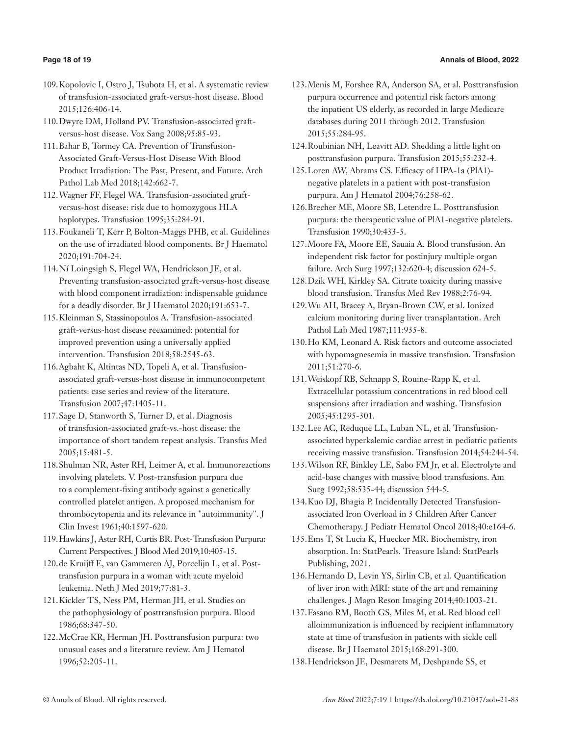# **Page 18 of 19 Annals of Blood, 2022**

- 109.Kopolovic I, Ostro J, Tsubota H, et al. A systematic review of transfusion-associated graft-versus-host disease. Blood 2015;126:406-14.
- 110.Dwyre DM, Holland PV. Transfusion-associated graftversus-host disease. Vox Sang 2008;95:85-93.
- 111.Bahar B, Tormey CA. Prevention of Transfusion-Associated Graft-Versus-Host Disease With Blood Product Irradiation: The Past, Present, and Future. Arch Pathol Lab Med 2018;142:662-7.
- 112.Wagner FF, Flegel WA. Transfusion-associated graftversus-host disease: risk due to homozygous HLA haplotypes. Transfusion 1995;35:284-91.
- 113.Foukaneli T, Kerr P, Bolton-Maggs PHB, et al. Guidelines on the use of irradiated blood components. Br J Haematol 2020;191:704-24.
- 114.Ní Loingsigh S, Flegel WA, Hendrickson JE, et al. Preventing transfusion-associated graft-versus-host disease with blood component irradiation: indispensable guidance for a deadly disorder. Br J Haematol 2020;191:653-7.
- 115.Kleinman S, Stassinopoulos A. Transfusion-associated graft-versus-host disease reexamined: potential for improved prevention using a universally applied intervention. Transfusion 2018;58:2545-63.
- 116.Agbaht K, Altintas ND, Topeli A, et al. Transfusionassociated graft-versus-host disease in immunocompetent patients: case series and review of the literature. Transfusion 2007;47:1405-11.
- 117.Sage D, Stanworth S, Turner D, et al. Diagnosis of transfusion-associated graft-vs.-host disease: the importance of short tandem repeat analysis. Transfus Med 2005;15:481-5.
- 118.Shulman NR, Aster RH, Leitner A, et al. Immunoreactions involving platelets. V. Post-transfusion purpura due to a complement-fixing antibody against a genetically controlled platelet antigen. A proposed mechanism for thrombocytopenia and its relevance in "autoimmunity". J Clin Invest 1961;40:1597-620.
- 119.Hawkins J, Aster RH, Curtis BR. Post-Transfusion Purpura: Current Perspectives. J Blood Med 2019;10:405-15.
- 120.de Kruijff E, van Gammeren AJ, Porcelijn L, et al. Posttransfusion purpura in a woman with acute myeloid leukemia. Neth J Med 2019;77:81-3.
- 121.Kickler TS, Ness PM, Herman JH, et al. Studies on the pathophysiology of posttransfusion purpura. Blood 1986;68:347-50.
- 122.McCrae KR, Herman JH. Posttransfusion purpura: two unusual cases and a literature review. Am J Hematol 1996;52:205-11.
- 123.Menis M, Forshee RA, Anderson SA, et al. Posttransfusion purpura occurrence and potential risk factors among the inpatient US elderly, as recorded in large Medicare databases during 2011 through 2012. Transfusion 2015;55:284-95.
- 124.Roubinian NH, Leavitt AD. Shedding a little light on posttransfusion purpura. Transfusion 2015;55:232-4.
- 125.Loren AW, Abrams CS. Efficacy of HPA-1a (PlA1) negative platelets in a patient with post-transfusion purpura. Am J Hematol 2004;76:258-62.
- 126.Brecher ME, Moore SB, Letendre L. Posttransfusion purpura: the therapeutic value of PlA1-negative platelets. Transfusion 1990;30:433-5.
- 127.Moore FA, Moore EE, Sauaia A. Blood transfusion. An independent risk factor for postinjury multiple organ failure. Arch Surg 1997;132:620-4; discussion 624-5.
- 128.Dzik WH, Kirkley SA. Citrate toxicity during massive blood transfusion. Transfus Med Rev 1988;2:76-94.
- 129.Wu AH, Bracey A, Bryan-Brown CW, et al. Ionized calcium monitoring during liver transplantation. Arch Pathol Lab Med 1987;111:935-8.
- 130.Ho KM, Leonard A. Risk factors and outcome associated with hypomagnesemia in massive transfusion. Transfusion 2011;51:270-6.
- 131.Weiskopf RB, Schnapp S, Rouine-Rapp K, et al. Extracellular potassium concentrations in red blood cell suspensions after irradiation and washing. Transfusion 2005;45:1295-301.
- 132.Lee AC, Reduque LL, Luban NL, et al. Transfusionassociated hyperkalemic cardiac arrest in pediatric patients receiving massive transfusion. Transfusion 2014;54:244-54.
- 133.Wilson RF, Binkley LE, Sabo FM Jr, et al. Electrolyte and acid-base changes with massive blood transfusions. Am Surg 1992;58:535-44; discussion 544-5.
- 134.Kuo DJ, Bhagia P. Incidentally Detected Transfusionassociated Iron Overload in 3 Children After Cancer Chemotherapy. J Pediatr Hematol Oncol 2018;40:e164-6.
- 135.Ems T, St Lucia K, Huecker MR. Biochemistry, iron absorption. In: StatPearls. Treasure Island: StatPearls Publishing, 2021.
- 136.Hernando D, Levin YS, Sirlin CB, et al. Quantification of liver iron with MRI: state of the art and remaining challenges. J Magn Reson Imaging 2014;40:1003-21.
- 137.Fasano RM, Booth GS, Miles M, et al. Red blood cell alloimmunization is influenced by recipient inflammatory state at time of transfusion in patients with sickle cell disease. Br J Haematol 2015;168:291-300.
- 138.Hendrickson JE, Desmarets M, Deshpande SS, et